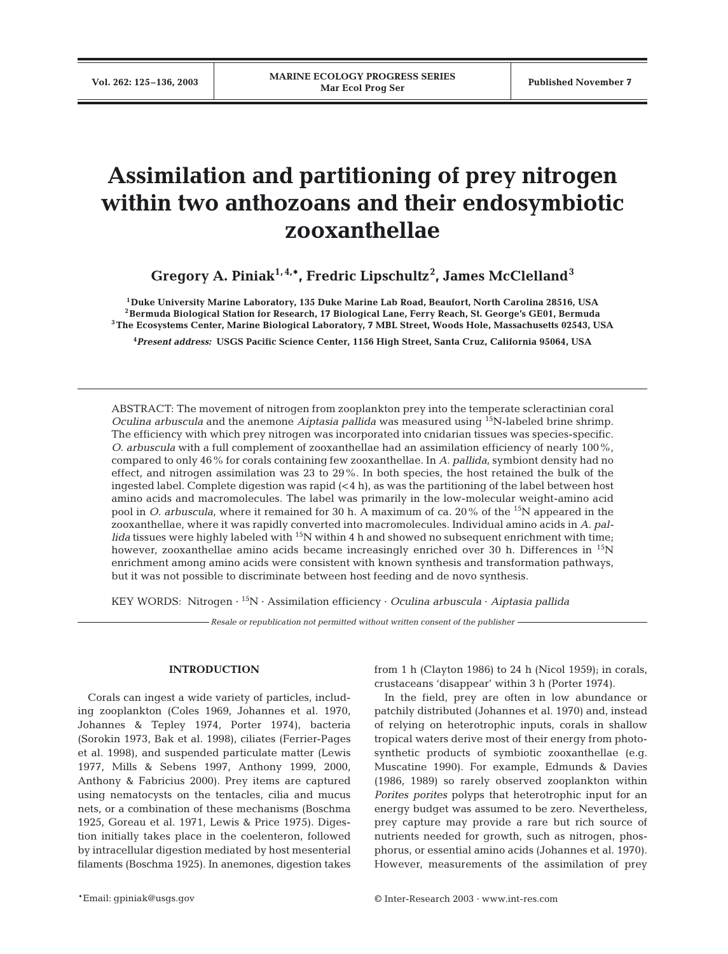# **Assimilation and partitioning of prey nitrogen within two anthozoans and their endosymbiotic zooxanthellae**

**Gregory A. Piniak1, 4,\*, Fredric Lipschultz2 , James McClelland<sup>3</sup>**

**1Duke University Marine Laboratory, 135 Duke Marine Lab Road, Beaufort, North Carolina 28516, USA 2Bermuda Biological Station for Research, 17 Biological Lane, Ferry Reach, St. George's GE01, Bermuda 3The Ecosystems Center, Marine Biological Laboratory, 7 MBL Street, Woods Hole, Massachusetts 02543, USA**

**4** *Present address:* **USGS Pacific Science Center, 1156 High Street, Santa Cruz, California 95064, USA**

ABSTRACT: The movement of nitrogen from zooplankton prey into the temperate scleractinian coral *Oculina arbuscula* and the anemone *Aiptasia pallida* was measured using <sup>15</sup>N-labeled brine shrimp. The efficiency with which prey nitrogen was incorporated into cnidarian tissues was species-specific. *O. arbuscula* with a full complement of zooxanthellae had an assimilation efficiency of nearly 100%, compared to only 46% for corals containing few zooxanthellae. In *A. pallida*, symbiont density had no effect, and nitrogen assimilation was 23 to 29%. In both species, the host retained the bulk of the ingested label. Complete digestion was rapid  $(< 4 h)$ , as was the partitioning of the label between host amino acids and macromolecules. The label was primarily in the low-molecular weight-amino acid pool in *O. arbuscula*, where it remained for 30 h. A maximum of ca. 20% of the 15N appeared in the zooxanthellae, where it was rapidly converted into macromolecules. Individual amino acids in *A. pallida* tissues were highly labeled with 15N within 4 h and showed no subsequent enrichment with time; however, zooxanthellae amino acids became increasingly enriched over 30 h. Differences in <sup>15</sup>N enrichment among amino acids were consistent with known synthesis and transformation pathways, but it was not possible to discriminate between host feeding and de novo synthesis.

KEY WORDS: Nitrogen · 15N · Assimilation efficiency · *Oculina arbuscula* · *Aiptasia pallida*

*Resale or republication not permitted without written consent of the publisher*

# **INTRODUCTION**

Corals can ingest a wide variety of particles, including zooplankton (Coles 1969, Johannes et al. 1970, Johannes & Tepley 1974, Porter 1974), bacteria (Sorokin 1973, Bak et al. 1998), ciliates (Ferrier-Pages et al. 1998), and suspended particulate matter (Lewis 1977, Mills & Sebens 1997, Anthony 1999, 2000, Anthony & Fabricius 2000). Prey items are captured using nematocysts on the tentacles, cilia and mucus nets, or a combination of these mechanisms (Boschma 1925, Goreau et al. 1971, Lewis & Price 1975). Digestion initially takes place in the coelenteron, followed by intracellular digestion mediated by host mesenterial filaments (Boschma 1925). In anemones, digestion takes

from 1 h (Clayton 1986) to 24 h (Nicol 1959); in corals, crustaceans 'disappear' within 3 h (Porter 1974).

In the field, prey are often in low abundance or patchily distributed (Johannes et al. 1970) and, instead of relying on heterotrophic inputs, corals in shallow tropical waters derive most of their energy from photosynthetic products of symbiotic zooxanthellae (e.g. Muscatine 1990). For example, Edmunds & Davies (1986, 1989) so rarely observed zooplankton within *Porites porites* polyps that heterotrophic input for an energy budget was assumed to be zero. Nevertheless, prey capture may provide a rare but rich source of nutrients needed for growth, such as nitrogen, phosphorus, or essential amino acids (Johannes et al. 1970). However, measurements of the assimilation of prey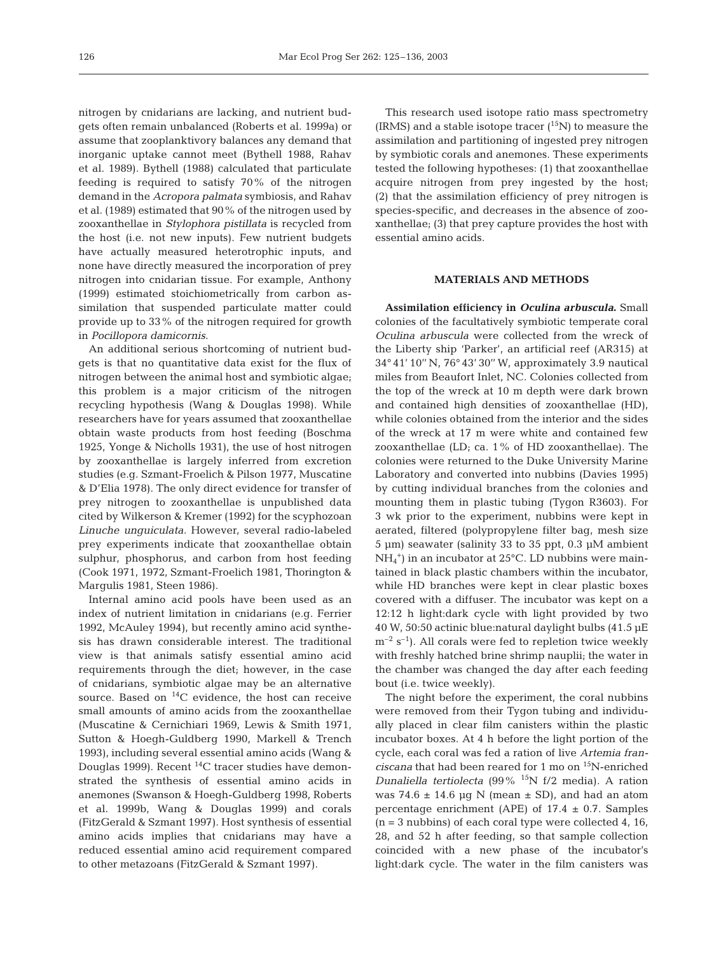nitrogen by cnidarians are lacking, and nutrient budgets often remain unbalanced (Roberts et al. 1999a) or assume that zooplanktivory balances any demand that inorganic uptake cannot meet (Bythell 1988, Rahav et al. 1989). Bythell (1988) calculated that particulate feeding is required to satisfy 70% of the nitrogen demand in the *Acropora palmata* symbiosis, and Rahav et al. (1989) estimated that 90% of the nitrogen used by zooxanthellae in *Stylophora pistillata* is recycled from the host (i.e. not new inputs). Few nutrient budgets have actually measured heterotrophic inputs, and none have directly measured the incorporation of prey nitrogen into cnidarian tissue. For example, Anthony (1999) estimated stoichiometrically from carbon assimilation that suspended particulate matter could provide up to 33% of the nitrogen required for growth in *Pocillopora damicornis*.

An additional serious shortcoming of nutrient budgets is that no quantitative data exist for the flux of nitrogen between the animal host and symbiotic algae; this problem is a major criticism of the nitrogen recycling hypothesis (Wang & Douglas 1998). While researchers have for years assumed that zooxanthellae obtain waste products from host feeding (Boschma 1925, Yonge & Nicholls 1931), the use of host nitrogen by zooxanthellae is largely inferred from excretion studies (e.g. Szmant-Froelich & Pilson 1977, Muscatine & D'Elia 1978). The only direct evidence for transfer of prey nitrogen to zooxanthellae is unpublished data cited by Wilkerson & Kremer (1992) for the scyphozoan *Linuche unguiculata*. However, several radio-labeled prey experiments indicate that zooxanthellae obtain sulphur, phosphorus, and carbon from host feeding (Cook 1971, 1972, Szmant-Froelich 1981, Thorington & Margulis 1981, Steen 1986).

Internal amino acid pools have been used as an index of nutrient limitation in cnidarians (e.g. Ferrier 1992, McAuley 1994), but recently amino acid synthesis has drawn considerable interest. The traditional view is that animals satisfy essential amino acid requirements through the diet; however, in the case of cnidarians, symbiotic algae may be an alternative source. Based on  ${}^{14}C$  evidence, the host can receive small amounts of amino acids from the zooxanthellae (Muscatine & Cernichiari 1969, Lewis & Smith 1971, Sutton & Hoegh-Guldberg 1990, Markell & Trench 1993), including several essential amino acids (Wang & Douglas 1999). Recent  $^{14}$ C tracer studies have demonstrated the synthesis of essential amino acids in anemones (Swanson & Hoegh-Guldberg 1998, Roberts et al. 1999b, Wang & Douglas 1999) and corals (FitzGerald & Szmant 1997). Host synthesis of essential amino acids implies that cnidarians may have a reduced essential amino acid requirement compared to other metazoans (FitzGerald & Szmant 1997).

This research used isotope ratio mass spectrometry (IRMS) and a stable isotope tracer  $(^{15}N)$  to measure the assimilation and partitioning of ingested prey nitrogen by symbiotic corals and anemones. These experiments tested the following hypotheses: (1) that zooxanthellae acquire nitrogen from prey ingested by the host; (2) that the assimilation efficiency of prey nitrogen is species-specific, and decreases in the absence of zooxanthellae; (3) that prey capture provides the host with essential amino acids.

## **MATERIALS AND METHODS**

**Assimilation efficiency in** *Oculina arbuscula***.** Small colonies of the facultatively symbiotic temperate coral *Oculina arbuscula* were collected from the wreck of the Liberty ship 'Parker', an artificial reef (AR315) at 34° 41' 10'' N, 76° 43' 30'' W, approximately 3.9 nautical miles from Beaufort Inlet, NC. Colonies collected from the top of the wreck at 10 m depth were dark brown and contained high densities of zooxanthellae (HD), while colonies obtained from the interior and the sides of the wreck at 17 m were white and contained few zooxanthellae (LD; ca. 1% of HD zooxanthellae). The colonies were returned to the Duke University Marine Laboratory and converted into nubbins (Davies 1995) by cutting individual branches from the colonies and mounting them in plastic tubing (Tygon R3603). For 3 wk prior to the experiment, nubbins were kept in aerated, filtered (polypropylene filter bag, mesh size 5 µm) seawater (salinity 33 to 35 ppt, 0.3 µM ambient NH4 +) in an incubator at 25°C. LD nubbins were maintained in black plastic chambers within the incubator, while HD branches were kept in clear plastic boxes covered with a diffuser. The incubator was kept on a 12:12 h light:dark cycle with light provided by two 40 W, 50:50 actinic blue:natural daylight bulbs (41.5 µE  $m^{-2}$  s<sup>-1</sup>). All corals were fed to repletion twice weekly with freshly hatched brine shrimp nauplii; the water in the chamber was changed the day after each feeding bout (i.e. twice weekly).

The night before the experiment, the coral nubbins were removed from their Tygon tubing and individually placed in clear film canisters within the plastic incubator boxes. At 4 h before the light portion of the cycle, each coral was fed a ration of live *Artemia franciscana* that had been reared for 1 mo on 15N-enriched *Dunaliella tertiolecta* (99% 15N f/2 media)*.* A ration was 74.6  $\pm$  14.6 µg N (mean  $\pm$  SD), and had an atom percentage enrichment (APE) of  $17.4 \pm 0.7$ . Samples  $(n = 3 \text{ nubbins})$  of each coral type were collected 4, 16, 28, and 52 h after feeding, so that sample collection coincided with a new phase of the incubator's light:dark cycle. The water in the film canisters was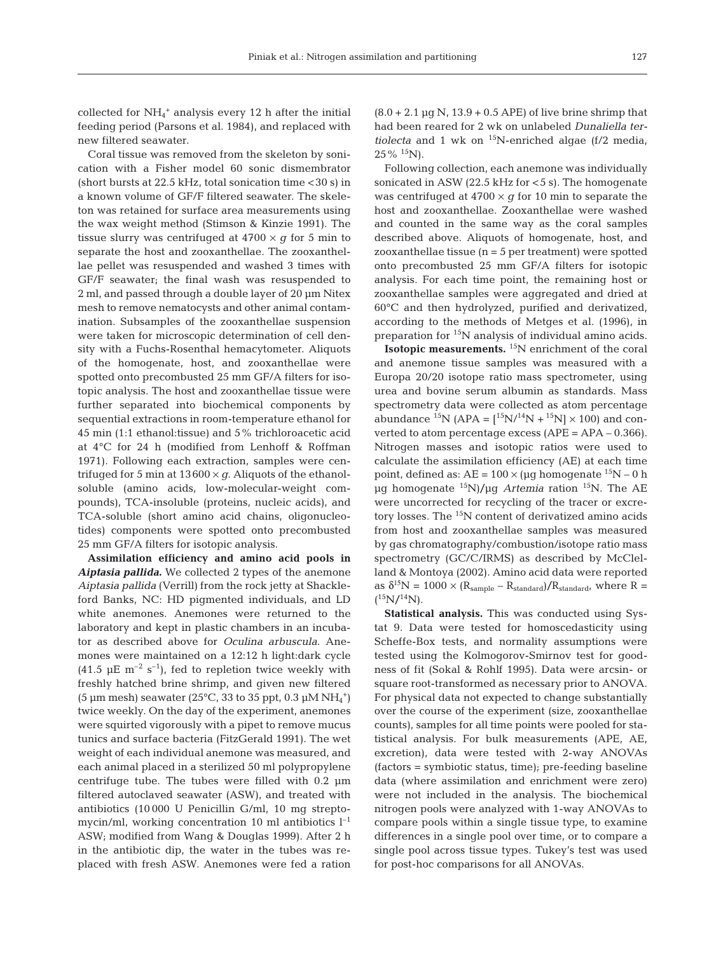collected for  $NH_4$ <sup>+</sup> analysis every 12 h after the initial feeding period (Parsons et al. 1984), and replaced with new filtered seawater.

Coral tissue was removed from the skeleton by sonication with a Fisher model 60 sonic dismembrator (short bursts at  $22.5$  kHz, total sonication time  $<$  30 s) in a known volume of GF/F filtered seawater. The skeleton was retained for surface area measurements using the wax weight method (Stimson & Kinzie 1991). The tissue slurry was centrifuged at  $4700 \times g$  for 5 min to separate the host and zooxanthellae. The zooxanthellae pellet was resuspended and washed 3 times with GF/F seawater; the final wash was resuspended to 2 ml, and passed through a double layer of 20 µm Nitex mesh to remove nematocysts and other animal contamination. Subsamples of the zooxanthellae suspension were taken for microscopic determination of cell density with a Fuchs-Rosenthal hemacytometer. Aliquots of the homogenate, host, and zooxanthellae were spotted onto precombusted 25 mm GF/A filters for isotopic analysis. The host and zooxanthellae tissue were further separated into biochemical components by sequential extractions in room-temperature ethanol for 45 min (1:1 ethanol:tissue) and 5% trichloroacetic acid at 4°C for 24 h (modified from Lenhoff & Roffman 1971). Following each extraction, samples were centrifuged for 5 min at  $13600 \times g$ . Aliquots of the ethanolsoluble (amino acids, low-molecular-weight compounds), TCA-insoluble (proteins, nucleic acids), and TCA-soluble (short amino acid chains, oligonucleotides) components were spotted onto precombusted 25 mm GF/A filters for isotopic analysis.

**Assimilation efficiency and amino acid pools in** *Aiptasia pallida.* We collected 2 types of the anemone *Aiptasia pallida* (Verrill) from the rock jetty at Shackleford Banks, NC: HD pigmented individuals, and LD white anemones. Anemones were returned to the laboratory and kept in plastic chambers in an incubator as described above for *Oculina arbuscula*. Anemones were maintained on a 12:12 h light:dark cycle  $(41.5 \mu E \text{ m}^{-2} \text{ s}^{-1})$ , fed to repletion twice weekly with freshly hatched brine shrimp, and given new filtered (5 µm mesh) seawater (25°C, 33 to 35 ppt, 0.3 µM  $NH_4^+$ ) twice weekly. On the day of the experiment, anemones were squirted vigorously with a pipet to remove mucus tunics and surface bacteria (FitzGerald 1991). The wet weight of each individual anemone was measured, and each animal placed in a sterilized 50 ml polypropylene centrifuge tube. The tubes were filled with 0.2 µm filtered autoclaved seawater (ASW), and treated with antibiotics (10 000 U Penicillin G/ml, 10 mg streptomycin/ml, working concentration 10 ml antibiotics  $l^{-1}$ ASW; modified from Wang & Douglas 1999). After 2 h in the antibiotic dip, the water in the tubes was replaced with fresh ASW. Anemones were fed a ration

 $(8.0 + 2.1 \text{ µq N}, 13.9 + 0.5 \text{ APE})$  of live brine shrimp that had been reared for 2 wk on unlabeled *Dunaliella tertiolecta* and 1 wk on  $^{15}$ N-enriched algae (f/2 media,  $25\%$  <sup>15</sup>N).

Following collection, each anemone was individually sonicated in ASW (22.5 kHz for  $<$  5 s). The homogenate was centrifuged at  $4700 \times q$  for 10 min to separate the host and zooxanthellae. Zooxanthellae were washed and counted in the same way as the coral samples described above. Aliquots of homogenate, host, and zooxanthellae tissue  $(n = 5$  per treatment) were spotted onto precombusted 25 mm GF/A filters for isotopic analysis. For each time point, the remaining host or zooxanthellae samples were aggregated and dried at 60°C and then hydrolyzed, purified and derivatized, according to the methods of Metges et al. (1996), in preparation for 15N analysis of individual amino acids.

**Isotopic measurements.** 15N enrichment of the coral and anemone tissue samples was measured with a Europa 20/20 isotope ratio mass spectrometer, using urea and bovine serum albumin as standards. Mass spectrometry data were collected as atom percentage abundance <sup>15</sup>N (APA =  $\binom{15}{14}$ N +  $\binom{15}{1}$  × 100) and converted to atom percentage excess (APE = APA – 0.366). Nitrogen masses and isotopic ratios were used to calculate the assimilation efficiency (AE) at each time point, defined as:  $AE = 100 \times (\mu g \text{ homogenate }^{15}N - 0 \text{ h})$ µg homogenate 15N)/µg *Artemia* ration 15N. The AE were uncorrected for recycling of the tracer or excretory losses. The <sup>15</sup>N content of derivatized amino acids from host and zooxanthellae samples was measured by gas chromatography/combustion/isotope ratio mass spectrometry (GC/C/IRMS) as described by McClelland & Montoya (2002). Amino acid data were reported as  $\delta^{15}N = 1000 \times (R_{sample} - R_{standard})/R_{standard}$ , where R =  $(^{15}N/^{14}N).$ 

**Statistical analysis.** This was conducted using Systat 9. Data were tested for homoscedasticity using Scheffe-Box tests, and normality assumptions were tested using the Kolmogorov-Smirnov test for goodness of fit (Sokal & Rohlf 1995). Data were arcsin- or square root-transformed as necessary prior to ANOVA. For physical data not expected to change substantially over the course of the experiment (size, zooxanthellae counts), samples for all time points were pooled for statistical analysis. For bulk measurements (APE, AE, excretion), data were tested with 2-way ANOVAs (factors = symbiotic status, time); pre-feeding baseline data (where assimilation and enrichment were zero) were not included in the analysis. The biochemical nitrogen pools were analyzed with 1-way ANOVAs to compare pools within a single tissue type, to examine differences in a single pool over time, or to compare a single pool across tissue types. Tukey's test was used for post-hoc comparisons for all ANOVAs.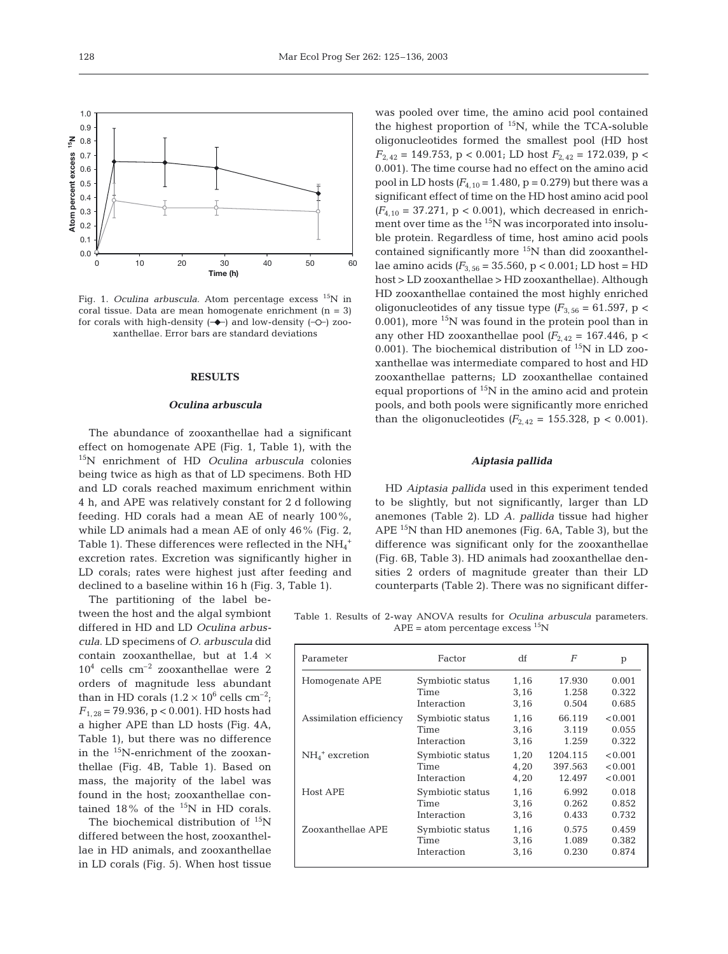

Fig. 1. *Oculina arbuscula*. Atom percentage excess <sup>15</sup>N in coral tissue. Data are mean homogenate enrichment  $(n = 3)$ for corals with high-density  $(-\rightarrow)$  and low-density  $(-\rightarrow)$  zooxanthellae. Error bars are standard deviations

## **RESULTS**

#### *Oculina arbuscula*

The abundance of zooxanthellae had a significant effect on homogenate APE (Fig. 1, Table 1), with the 15N enrichment of HD *Oculina arbuscula* colonies being twice as high as that of LD specimens. Both HD and LD corals reached maximum enrichment within 4 h, and APE was relatively constant for 2 d following feeding. HD corals had a mean AE of nearly 100%, while LD animals had a mean AE of only 46% (Fig. 2, Table 1). These differences were reflected in the  $\mathrm{NH}_4{}^+$ excretion rates. Excretion was significantly higher in LD corals; rates were highest just after feeding and declined to a baseline within 16 h (Fig. 3, Table 1).

The partitioning of the label between the host and the algal symbiont differed in HD and LD *Oculina arbuscula*. LD specimens of *O. arbuscula* did contain zooxanthellae, but at 1.4 ×  $10^4$  cells  $\, \mathrm{cm^{-2}}$  zooxanthellae were  $2$ orders of magnitude less abundant than in HD corals  $(1.2 \times 10^6 \text{ cells cm}^{-2})$ ; *F*1, 28 = 79.936, p < 0.001). HD hosts had a higher APE than LD hosts (Fig. 4A, Table 1), but there was no difference in the 15N-enrichment of the zooxanthellae (Fig. 4B, Table 1). Based on mass, the majority of the label was found in the host; zooxanthellae contained  $18\%$  of the  $^{15}N$  in HD corals.

The biochemical distribution of  $15N$ differed between the host, zooxanthellae in HD animals, and zooxanthellae in LD corals (Fig. 5). When host tissue

was pooled over time, the amino acid pool contained the highest proportion of  $^{15}N$ , while the TCA-soluble oligonucleotides formed the smallest pool (HD host  $F_{2,42}$  = 149.753, p < 0.001; LD host  $F_{2,42}$  = 172.039, p < 0.001). The time course had no effect on the amino acid pool in LD hosts  $(F_{4,10} = 1.480, p = 0.279)$  but there was a significant effect of time on the HD host amino acid pool  $(F_{4,10} = 37.271, p < 0.001)$ , which decreased in enrichment over time as the <sup>15</sup>N was incorporated into insoluble protein. Regardless of time, host amino acid pools contained significantly more <sup>15</sup>N than did zooxanthellae amino acids *(F*3, 56 = 35.560, p < 0.001; LD host = HD host > LD zooxanthellae > HD zooxanthellae). Although HD zooxanthellae contained the most highly enriched oligonucleotides of any tissue type  $(F_{3.56} = 61.597, p <$ 0.001), more  $15N$  was found in the protein pool than in any other HD zooxanthellae pool  $(F_{2,42} = 167.446, p <$ 0.001). The biochemical distribution of  $^{15}N$  in LD zooxanthellae was intermediate compared to host and HD zooxanthellae patterns; LD zooxanthellae contained equal proportions of 15N in the amino acid and protein pools, and both pools were significantly more enriched than the oligonucleotides  $(F_{2,42} = 155.328, p < 0.001)$ .

## *Aiptasia pallida*

HD *Aiptasia pallida* used in this experiment tended to be slightly, but not significantly, larger than LD anemones (Table 2). LD *A. pallida* tissue had higher APE  $^{15}N$  than HD anemones (Fig. 6A, Table 3), but the difference was significant only for the zooxanthellae (Fig. 6B, Table 3). HD animals had zooxanthellae densities 2 orders of magnitude greater than their LD counterparts (Table 2). There was no significant differ-

Table 1. Results of 2-way ANOVA results for *Oculina arbuscula* parameters.  $APE = atom$  percentage excess  $^{15}N$ 

| Parameter                    | Factor           | df   | F        | p       |
|------------------------------|------------------|------|----------|---------|
| Homogenate APE               | Symbiotic status | 1,16 | 17.930   | 0.001   |
|                              | Time             | 3,16 | 1.258    | 0.322   |
|                              | Interaction      | 3,16 | 0.504    | 0.685   |
| Assimilation efficiency      | Symbiotic status | 1,16 | 66.119   | < 0.001 |
|                              | Time             | 3,16 | 3.119    | 0.055   |
|                              | Interaction      | 3,16 | 1.259    | 0.322   |
| $NH4$ <sup>+</sup> excretion | Symbiotic status | 1,20 | 1204.115 | < 0.001 |
|                              | Time             | 4,20 | 397.563  | < 0.001 |
|                              | Interaction      | 4,20 | 12.497   | < 0.001 |
| Host APE                     | Symbiotic status | 1,16 | 6.992    | 0.018   |
|                              | Time             | 3,16 | 0.262    | 0.852   |
|                              | Interaction      | 3,16 | 0.433    | 0.732   |
| Zooxanthellae APE            | Symbiotic status | 1,16 | 0.575    | 0.459   |
|                              | Time             | 3,16 | 1.089    | 0.382   |
|                              | Interaction      | 3,16 | 0.230    | 0.874   |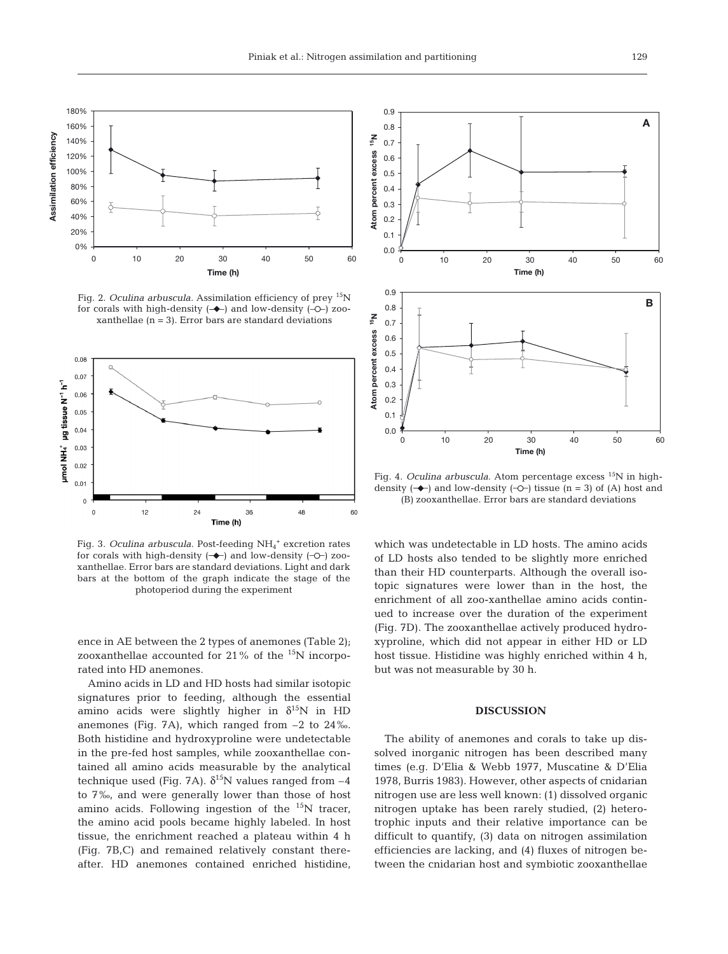

Fig. 2. *Oculina arbuscula.* Assimilation efficiency of prey 15N for corals with high-density  $(\rightarrow)$  and low-density  $(-\rightarrow)$  zooxanthellae  $(n = 3)$ . Error bars are standard deviations



Fig. 3. *Oculina arbuscula*. Post-feeding NH<sub>4</sub><sup>+</sup> excretion rates for corals with high-density  $(-\rightarrow)$  and low-density  $(-\rightarrow)$  zooxanthellae. Error bars are standard deviations. Light and dark bars at the bottom of the graph indicate the stage of the photoperiod during the experiment

ence in AE between the 2 types of anemones (Table 2); zooxanthellae accounted for 21% of the 15N incorporated into HD anemones.

Amino acids in LD and HD hosts had similar isotopic signatures prior to feeding, although the essential amino acids were slightly higher in  $\delta^{15}N$  in HD anemones (Fig. 7A), which ranged from –2 to 24‰. Both histidine and hydroxyproline were undetectable in the pre-fed host samples, while zooxanthellae contained all amino acids measurable by the analytical technique used (Fig. 7A).  $\delta^{15}$ N values ranged from -4 to 7‰, and were generally lower than those of host amino acids. Following ingestion of the  $15N$  tracer, the amino acid pools became highly labeled. In host tissue, the enrichment reached a plateau within 4 h (Fig. 7B,C) and remained relatively constant thereafter. HD anemones contained enriched histidine,



Fig. 4. *Oculina arbuscula*. Atom percentage excess <sup>15</sup>N in highdensity  $(-\rightarrow)$  and low-density  $(-\rightarrow)$  tissue (n = 3) of (A) host and (B) zooxanthellae. Error bars are standard deviations

which was undetectable in LD hosts. The amino acids of LD hosts also tended to be slightly more enriched than their HD counterparts. Although the overall isotopic signatures were lower than in the host, the enrichment of all zoo-xanthellae amino acids continued to increase over the duration of the experiment (Fig. 7D). The zooxanthellae actively produced hydroxyproline, which did not appear in either HD or LD host tissue. Histidine was highly enriched within 4 h, but was not measurable by 30 h.

## **DISCUSSION**

The ability of anemones and corals to take up dissolved inorganic nitrogen has been described many times (e.g. D'Elia & Webb 1977, Muscatine & D'Elia 1978, Burris 1983). However, other aspects of cnidarian nitrogen use are less well known: (1) dissolved organic nitrogen uptake has been rarely studied, (2) heterotrophic inputs and their relative importance can be difficult to quantify, (3) data on nitrogen assimilation efficiencies are lacking, and (4) fluxes of nitrogen between the cnidarian host and symbiotic zooxanthellae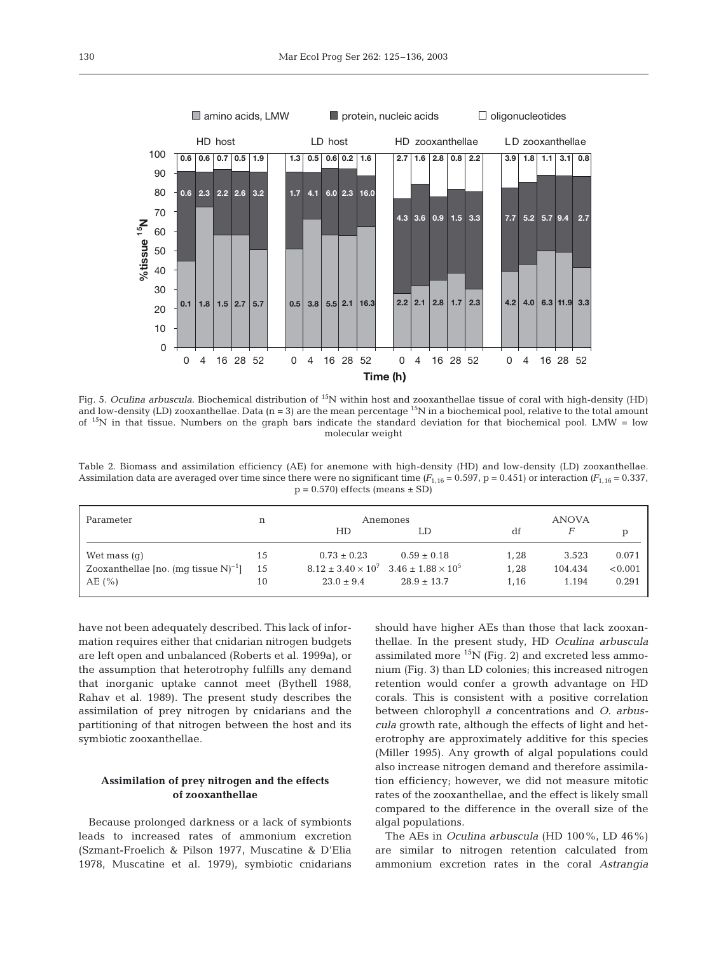

Fig. 5. *Oculina arbuscula*. Biochemical distribution of <sup>15</sup>N within host and zooxanthellae tissue of coral with high-density (HD) and low-density (LD) zooxanthellae. Data  $(n = 3)$  are the mean percentage  $15N$  in a biochemical pool, relative to the total amount of  $15$ N in that tissue. Numbers on the graph bars indicate the standard deviation for that biochemical pool. LMW = low molecular weight

Table 2. Biomass and assimilation efficiency (AE) for anemone with high-density (HD) and low-density (LD) zooxanthellae. Assimilation data are averaged over time since there were no significant time  $(F_{1.16} = 0.597, p = 0.451)$  or interaction  $(F_{1.16} = 0.337, p = 0.451)$  $p = 0.570$ ) effects (means  $\pm$  SD)

| Parameter                                           | n  | Anemones        |                                                         |      | <b>ANOVA</b> |         |  |
|-----------------------------------------------------|----|-----------------|---------------------------------------------------------|------|--------------|---------|--|
|                                                     |    | HD              | LD                                                      | df   | F            |         |  |
| Wet mass $(q)$                                      | 15 | $0.73 \pm 0.23$ | $0.59 \pm 0.18$                                         | 1.28 | 3.523        | 0.071   |  |
| Zooxanthellae [no. (mq tissue $N$ ) <sup>-1</sup> ] | 15 |                 | $8.12 \pm 3.40 \times 10^7$ $3.46 \pm 1.88 \times 10^5$ | 1,28 | 104.434      | < 0.001 |  |
| AE(%)                                               | 10 | $23.0 \pm 9.4$  | $28.9 \pm 13.7$                                         | 1,16 | 1.194        | 0.291   |  |

have not been adequately described. This lack of information requires either that cnidarian nitrogen budgets are left open and unbalanced (Roberts et al. 1999a), or the assumption that heterotrophy fulfills any demand that inorganic uptake cannot meet (Bythell 1988, Rahav et al. 1989). The present study describes the assimilation of prey nitrogen by cnidarians and the partitioning of that nitrogen between the host and its symbiotic zooxanthellae.

# **Assimilation of prey nitrogen and the effects of zooxanthellae**

Because prolonged darkness or a lack of symbionts leads to increased rates of ammonium excretion (Szmant-Froelich & Pilson 1977, Muscatine & D'Elia 1978, Muscatine et al. 1979), symbiotic cnidarians should have higher AEs than those that lack zooxanthellae. In the present study, HD *Oculina arbuscula* assimilated more  ${}^{15}N$  (Fig. 2) and excreted less ammonium (Fig. 3) than LD colonies; this increased nitrogen retention would confer a growth advantage on HD corals. This is consistent with a positive correlation between chlorophyll *a* concentrations and *O. arbuscula* growth rate, although the effects of light and heterotrophy are approximately additive for this species (Miller 1995). Any growth of algal populations could also increase nitrogen demand and therefore assimilation efficiency; however, we did not measure mitotic rates of the zooxanthellae, and the effect is likely small compared to the difference in the overall size of the algal populations.

The AEs in *Oculina arbuscula* (HD 100%, LD 46%) are similar to nitrogen retention calculated from ammonium excretion rates in the coral *Astrangia*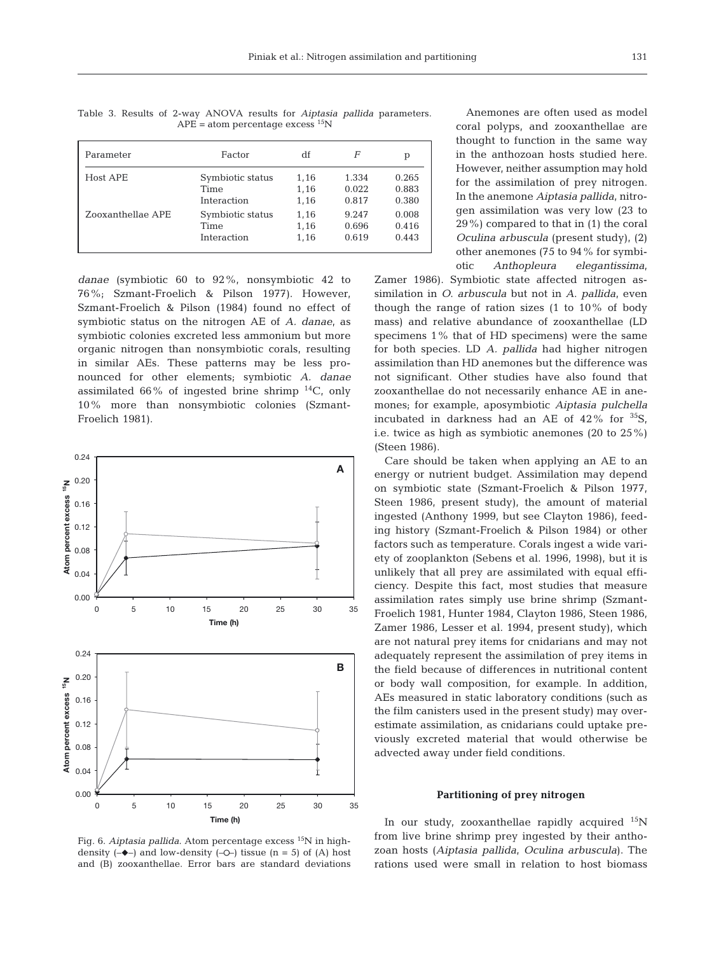Parameter **Factor** df *F* p Host APE Symbiotic status 1,16 1.334 0.265 Time 1,16 0.022 0.883 Interaction 1,16 0.817 0.380 Zooxanthellae APE Symbiotic status 1,16 9.247 0.008 Time 1,16 0.696 0.416 Interaction 1,16 0.619 0.443

Table 3. Results of 2-way ANOVA results for *Aiptasia pallida* parameters.  $APE = atom$  percentage excess <sup>15</sup>N

*danae* (symbiotic 60 to 92%, nonsymbiotic 42 to 76%; Szmant-Froelich & Pilson 1977). However, Szmant-Froelich & Pilson (1984) found no effect of symbiotic status on the nitrogen AE of *A. danae*, as symbiotic colonies excreted less ammonium but more organic nitrogen than nonsymbiotic corals, resulting in similar AEs. These patterns may be less pronounced for other elements; symbiotic *A. danae* assimilated 66% of ingested brine shrimp  $^{14}C$ , only 10% more than nonsymbiotic colonies (Szmant-Froelich 1981).



Fig. 6. *Aiptasia pallida*. Atom percentage excess <sup>15</sup>N in highdensity  $(-\rightarrow)$  and low-density  $(-\rightarrow)$  tissue (n = 5) of (A) host and (B) zooxanthellae. Error bars are standard deviations

Anemones are often used as model coral polyps, and zooxanthellae are thought to function in the same way in the anthozoan hosts studied here. However, neither assumption may hold for the assimilation of prey nitrogen. In the anemone *Aiptasia pallida*, nitrogen assimilation was very low (23 to 29%) compared to that in (1) the coral *Oculina arbuscula* (present study), (2) other anemones (75 to 94% for symbiotic *Anthopleura elegantissima*,

Zamer 1986). Symbiotic state affected nitrogen assimilation in *O*. *arbuscula* but not in *A*. *pallida*, even though the range of ration sizes  $(1 \text{ to } 10\% \text{ of body})$ mass) and relative abundance of zooxanthellae (LD specimens 1% that of HD specimens) were the same for both species. LD *A. pallida* had higher nitrogen assimilation than HD anemones but the difference was not significant. Other studies have also found that zooxanthellae do not necessarily enhance AE in anemones; for example, aposymbiotic *Aiptasia pulchella* incubated in darkness had an AE of  $42\%$  for  $35S$ , i.e. twice as high as symbiotic anemones (20 to 25%) (Steen 1986).

Care should be taken when applying an AE to an energy or nutrient budget. Assimilation may depend on symbiotic state (Szmant-Froelich & Pilson 1977, Steen 1986, present study), the amount of material ingested (Anthony 1999, but see Clayton 1986), feeding history (Szmant-Froelich & Pilson 1984) or other factors such as temperature. Corals ingest a wide variety of zooplankton (Sebens et al. 1996, 1998), but it is unlikely that all prey are assimilated with equal efficiency. Despite this fact, most studies that measure assimilation rates simply use brine shrimp (Szmant-Froelich 1981, Hunter 1984, Clayton 1986, Steen 1986, Zamer 1986, Lesser et al. 1994, present study), which are not natural prey items for cnidarians and may not adequately represent the assimilation of prey items in the field because of differences in nutritional content or body wall composition, for example. In addition, AEs measured in static laboratory conditions (such as the film canisters used in the present study) may overestimate assimilation, as cnidarians could uptake previously excreted material that would otherwise be advected away under field conditions.

#### **Partitioning of prey nitrogen**

In our study, zooxanthellae rapidly acquired  $^{15}N$ from live brine shrimp prey ingested by their anthozoan hosts (*Aiptasia pallida*, *Oculina arbuscula*). The rations used were small in relation to host biomass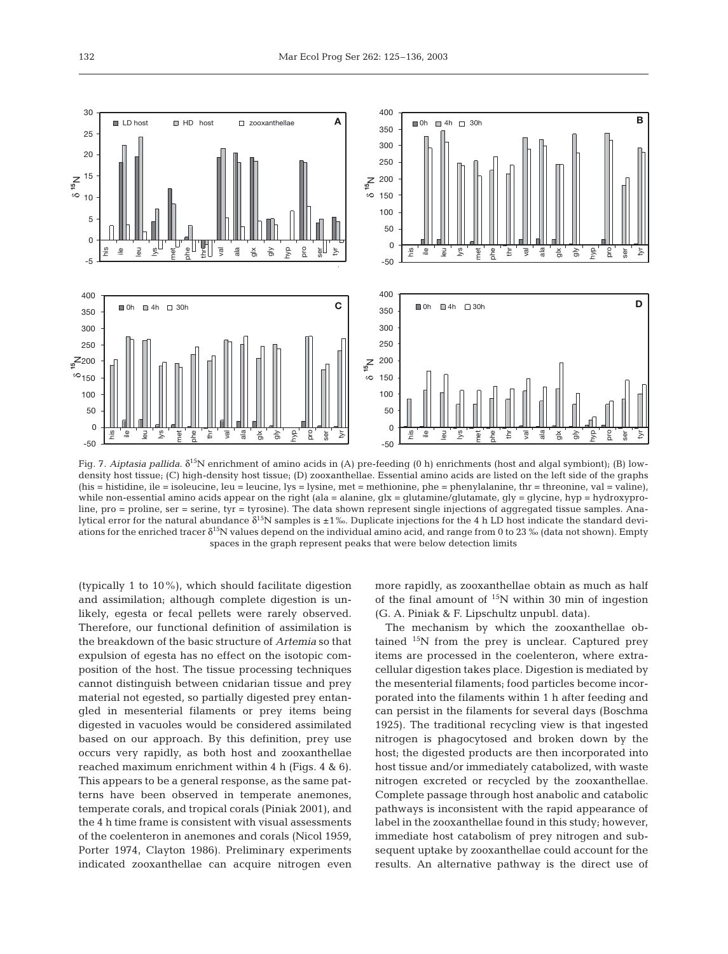

Fig. 7. *Aiptasia pallida*. δ15N enrichment of amino acids in (A) pre-feeding (0 h) enrichments (host and algal symbiont); (B) lowdensity host tissue; (C) high-density host tissue; (D) zooxanthellae. Essential amino acids are listed on the left side of the graphs (his  $=$  histidine, ile  $=$  isoleucine, leu  $=$  leucine, lys  $=$  lysine, met  $=$  methionine, phe  $=$  phenylalanine, thr  $=$  threonine, val  $=$  valine), while non-essential amino acids appear on the right (ala = alanine,  $qlx = qlutamine/qlutamate$ ,  $qly = qlycine$ ,  $hyp = hydroxypro$ line, pro = proline, ser = serine, tyr = tyrosine). The data shown represent single injections of aggregated tissue samples. Analytical error for the natural abundance  $\delta^{15}N$  samples is  $\pm 1\%$ . Duplicate injections for the 4 h LD host indicate the standard deviations for the enriched tracer  $\delta^{15}N$  values depend on the individual amino acid, and range from 0 to 23 ‰ (data not shown). Empty spaces in the graph represent peaks that were below detection limits

(typically 1 to 10%), which should facilitate digestion and assimilation; although complete digestion is unlikely, egesta or fecal pellets were rarely observed. Therefore, our functional definition of assimilation is the breakdown of the basic structure of *Artemia* so that expulsion of egesta has no effect on the isotopic composition of the host. The tissue processing techniques cannot distinguish between cnidarian tissue and prey material not egested, so partially digested prey entangled in mesenterial filaments or prey items being digested in vacuoles would be considered assimilated based on our approach. By this definition, prey use occurs very rapidly, as both host and zooxanthellae reached maximum enrichment within 4 h (Figs. 4 & 6). This appears to be a general response, as the same patterns have been observed in temperate anemones, temperate corals, and tropical corals (Piniak 2001), and the 4 h time frame is consistent with visual assessments of the coelenteron in anemones and corals (Nicol 1959, Porter 1974, Clayton 1986). Preliminary experiments indicated zooxanthellae can acquire nitrogen even more rapidly, as zooxanthellae obtain as much as half of the final amount of  $15N$  within 30 min of ingestion (G. A. Piniak & F. Lipschultz unpubl. data).

The mechanism by which the zooxanthellae obtained  $15N$  from the prey is unclear. Captured prey items are processed in the coelenteron, where extracellular digestion takes place. Digestion is mediated by the mesenterial filaments; food particles become incorporated into the filaments within 1 h after feeding and can persist in the filaments for several days (Boschma 1925). The traditional recycling view is that ingested nitrogen is phagocytosed and broken down by the host; the digested products are then incorporated into host tissue and/or immediately catabolized, with waste nitrogen excreted or recycled by the zooxanthellae. Complete passage through host anabolic and catabolic pathways is inconsistent with the rapid appearance of label in the zooxanthellae found in this study; however, immediate host catabolism of prey nitrogen and subsequent uptake by zooxanthellae could account for the results. An alternative pathway is the direct use of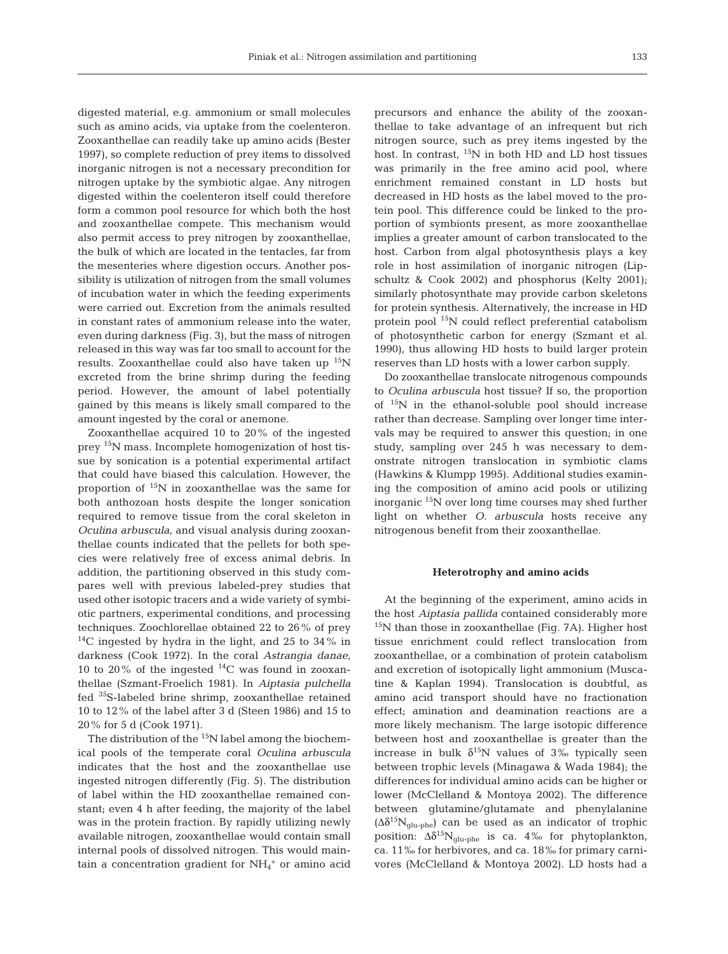digested material, e.g. ammonium or small molecules such as amino acids, via uptake from the coelenteron. Zooxanthellae can readily take up amino acids (Bester 1997), so complete reduction of prey items to dissolved inorganic nitrogen is not a necessary precondition for nitrogen uptake by the symbiotic algae. Any nitrogen digested within the coelenteron itself could therefore form a common pool resource for which both the host and zooxanthellae compete. This mechanism would also permit access to prey nitrogen by zooxanthellae, the bulk of which are located in the tentacles, far from the mesenteries where digestion occurs. Another possibility is utilization of nitrogen from the small volumes of incubation water in which the feeding experiments were carried out. Excretion from the animals resulted in constant rates of ammonium release into the water, even during darkness (Fig. 3), but the mass of nitrogen released in this way was far too small to account for the results. Zooxanthellae could also have taken up  $^{15}N$ excreted from the brine shrimp during the feeding period. However, the amount of label potentially gained by this means is likely small compared to the amount ingested by the coral or anemone.

Zooxanthellae acquired 10 to 20% of the ingested prey 15N mass. Incomplete homogenization of host tissue by sonication is a potential experimental artifact that could have biased this calculation. However, the proportion of  $15N$  in zooxanthellae was the same for both anthozoan hosts despite the longer sonication required to remove tissue from the coral skeleton in *Oculina arbuscula*, and visual analysis during zooxanthellae counts indicated that the pellets for both species were relatively free of excess animal debris. In addition, the partitioning observed in this study compares well with previous labeled-prey studies that used other isotopic tracers and a wide variety of symbiotic partners, experimental conditions, and processing techniques. Zoochlorellae obtained 22 to 26% of prey  $^{14}$ C ingested by hydra in the light, and 25 to 34% in darkness (Cook 1972). In the coral *Astrangia danae*, 10 to 20% of the ingested  $^{14}$ C was found in zooxanthellae (Szmant-Froelich 1981). In *Aiptasia pulchella* fed 35S-labeled brine shrimp, zooxanthellae retained 10 to 12% of the label after 3 d (Steen 1986) and 15 to 20% for 5 d (Cook 1971).

The distribution of the  $15N$  label among the biochemical pools of the temperate coral *Oculina arbuscula* indicates that the host and the zooxanthellae use ingested nitrogen differently (Fig. 5). The distribution of label within the HD zooxanthellae remained constant; even 4 h after feeding, the majority of the label was in the protein fraction. By rapidly utilizing newly available nitrogen, zooxanthellae would contain small internal pools of dissolved nitrogen. This would maintain a concentration gradient for  $NH_4$ <sup>+</sup> or amino acid

precursors and enhance the ability of the zooxanthellae to take advantage of an infrequent but rich nitrogen source, such as prey items ingested by the host. In contrast,  $^{15}N$  in both HD and LD host tissues was primarily in the free amino acid pool, where enrichment remained constant in LD hosts but decreased in HD hosts as the label moved to the protein pool. This difference could be linked to the proportion of symbionts present, as more zooxanthellae implies a greater amount of carbon translocated to the host. Carbon from algal photosynthesis plays a key role in host assimilation of inorganic nitrogen (Lipschultz & Cook 2002) and phosphorus (Kelty 2001); similarly photosynthate may provide carbon skeletons for protein synthesis. Alternatively, the increase in HD protein pool 15N could reflect preferential catabolism of photosynthetic carbon for energy (Szmant et al. 1990), thus allowing HD hosts to build larger protein reserves than LD hosts with a lower carbon supply.

Do zooxanthellae translocate nitrogenous compounds to *Oculina arbuscula* host tissue? If so, the proportion of  $15N$  in the ethanol-soluble pool should increase rather than decrease. Sampling over longer time intervals may be required to answer this question; in one study, sampling over 245 h was necessary to demonstrate nitrogen translocation in symbiotic clams (Hawkins & Klumpp 1995). Additional studies examining the composition of amino acid pools or utilizing inorganic  $15N$  over long time courses may shed further light on whether *O. arbuscula* hosts receive any nitrogenous benefit from their zooxanthellae.

#### **Heterotrophy and amino acids**

At the beginning of the experiment, amino acids in the host *Aiptasia pallida* contained considerably more  $15N$  than those in zooxanthellae (Fig. 7A). Higher host tissue enrichment could reflect translocation from zooxanthellae, or a combination of protein catabolism and excretion of isotopically light ammonium (Muscatine & Kaplan 1994). Translocation is doubtful, as amino acid transport should have no fractionation effect; amination and deamination reactions are a more likely mechanism. The large isotopic difference between host and zooxanthellae is greater than the increase in bulk  $\delta^{15}N$  values of 3% typically seen between trophic levels (Minagawa & Wada 1984); the differences for individual amino acids can be higher or lower (McClelland & Montoya 2002). The difference between glutamine/glutamate and phenylalanine  $(\Delta \delta^{15} N_{\text{glu-phe}})$  can be used as an indicator of trophic position:  $\Delta \delta^{15} N_{glu\text{-}phe}$  is ca. 4‰ for phytoplankton, ca. 11‰ for herbivores, and ca. 18‰ for primary carnivores (McClelland & Montoya 2002). LD hosts had a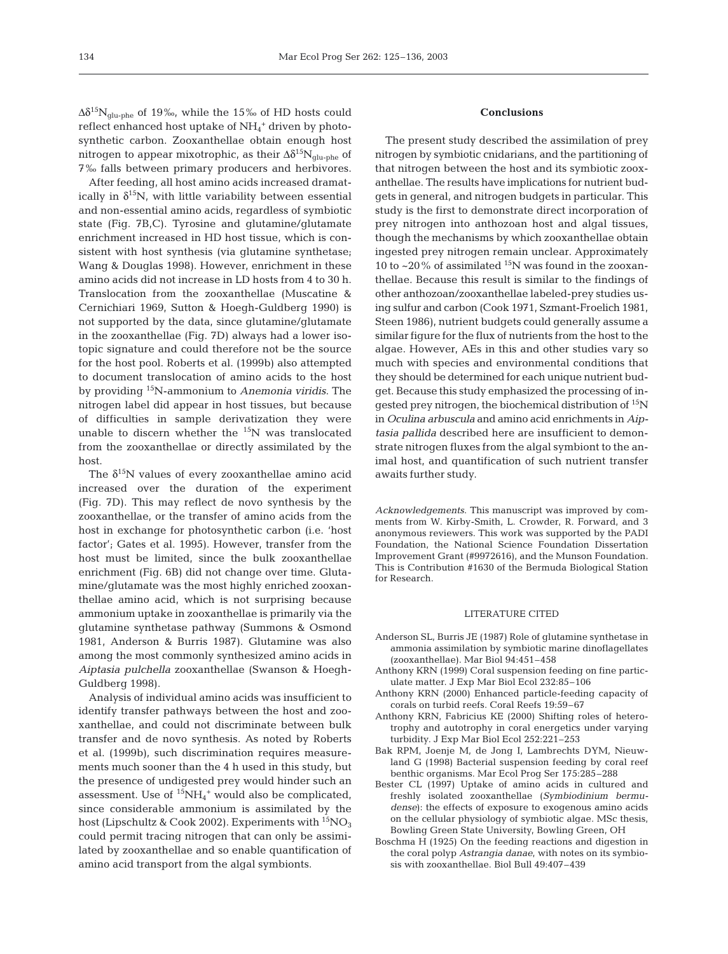$\Delta\delta^{15}N_{glu\text{-}phe}$  of 19‰, while the 15‰ of HD hosts could reflect enhanced host uptake of NH4 <sup>+</sup> driven by photosynthetic carbon. Zooxanthellae obtain enough host nitrogen to appear mixotrophic, as their  $\Delta \delta^{15} N_{\text{glu-}}$  of 7‰ falls between primary producers and herbivores.

After feeding, all host amino acids increased dramatically in  $\delta^{15}N$ , with little variability between essential and non-essential amino acids, regardless of symbiotic state (Fig. 7B,C). Tyrosine and glutamine/glutamate enrichment increased in HD host tissue, which is consistent with host synthesis (via glutamine synthetase; Wang & Douglas 1998). However, enrichment in these amino acids did not increase in LD hosts from 4 to 30 h. Translocation from the zooxanthellae (Muscatine & Cernichiari 1969, Sutton & Hoegh-Guldberg 1990) is not supported by the data, since glutamine/glutamate in the zooxanthellae (Fig. 7D) always had a lower isotopic signature and could therefore not be the source for the host pool. Roberts et al. (1999b) also attempted to document translocation of amino acids to the host by providing 15N-ammonium to *Anemonia viridis*. The nitrogen label did appear in host tissues, but because of difficulties in sample derivatization they were unable to discern whether the  ${}^{15}N$  was translocated from the zooxanthellae or directly assimilated by the host.

The  $\delta^{15}$ N values of every zooxanthellae amino acid increased over the duration of the experiment (Fig. 7D). This may reflect de novo synthesis by the zooxanthellae, or the transfer of amino acids from the host in exchange for photosynthetic carbon (i.e. 'host factor'; Gates et al. 1995). However, transfer from the host must be limited, since the bulk zooxanthellae enrichment (Fig. 6B) did not change over time. Glutamine/glutamate was the most highly enriched zooxanthellae amino acid, which is not surprising because ammonium uptake in zooxanthellae is primarily via the glutamine synthetase pathway (Summons & Osmond 1981, Anderson & Burris 1987). Glutamine was also among the most commonly synthesized amino acids in *Aiptasia pulchella* zooxanthellae (Swanson & Hoegh-Guldberg 1998).

Analysis of individual amino acids was insufficient to identify transfer pathways between the host and zooxanthellae, and could not discriminate between bulk transfer and de novo synthesis. As noted by Roberts et al. (1999b), such discrimination requires measurements much sooner than the 4 h used in this study, but the presence of undigested prey would hinder such an assessment. Use of  ${}^{15}NH_4$ <sup>+</sup> would also be complicated, since considerable ammonium is assimilated by the host (Lipschultz & Cook 2002). Experiments with  ${}^{15}NO_3$ could permit tracing nitrogen that can only be assimilated by zooxanthellae and so enable quantification of amino acid transport from the algal symbionts.

## **Conclusions**

The present study described the assimilation of prey nitrogen by symbiotic cnidarians, and the partitioning of that nitrogen between the host and its symbiotic zooxanthellae. The results have implications for nutrient budgets in general, and nitrogen budgets in particular. This study is the first to demonstrate direct incorporation of prey nitrogen into anthozoan host and algal tissues, though the mechanisms by which zooxanthellae obtain ingested prey nitrogen remain unclear. Approximately 10 to  $\sim$ 20% of assimilated <sup>15</sup>N was found in the zooxanthellae. Because this result is similar to the findings of other anthozoan/zooxanthellae labeled-prey studies using sulfur and carbon (Cook 1971, Szmant-Froelich 1981, Steen 1986), nutrient budgets could generally assume a similar figure for the flux of nutrients from the host to the algae. However, AEs in this and other studies vary so much with species and environmental conditions that they should be determined for each unique nutrient budget. Because this study emphasized the processing of ingested prey nitrogen, the biochemical distribution of 15N in *Oculina arbuscula* and amino acid enrichments in *Aiptasia pallida* described here are insufficient to demonstrate nitrogen fluxes from the algal symbiont to the animal host, and quantification of such nutrient transfer awaits further study.

*Acknowledgements*. This manuscript was improved by comments from W. Kirby-Smith, L. Crowder, R. Forward, and 3 anonymous reviewers. This work was supported by the PADI Foundation, the National Science Foundation Dissertation Improvement Grant (#9972616), and the Munson Foundation. This is Contribution #1630 of the Bermuda Biological Station for Research.

## LITERATURE CITED

- Anderson SL, Burris JE (1987) Role of glutamine synthetase in ammonia assimilation by symbiotic marine dinoflagellates (zooxanthellae). Mar Biol 94:451–458
- Anthony KRN (1999) Coral suspension feeding on fine particulate matter. J Exp Mar Biol Ecol 232:85–106
- Anthony KRN (2000) Enhanced particle-feeding capacity of corals on turbid reefs. Coral Reefs 19:59–67
- Anthony KRN, Fabricius KE (2000) Shifting roles of heterotrophy and autotrophy in coral energetics under varying turbidity. J Exp Mar Biol Ecol 252:221–253
- Bak RPM, Joenje M, de Jong I, Lambrechts DYM, Nieuwland G (1998) Bacterial suspension feeding by coral reef benthic organisms. Mar Ecol Prog Ser 175:285–288
- Bester CL (1997) Uptake of amino acids in cultured and freshly isolated zooxanthellae (*Symbiodinium bermudense*): the effects of exposure to exogenous amino acids on the cellular physiology of symbiotic algae. MSc thesis, Bowling Green State University, Bowling Green, OH
- Boschma H (1925) On the feeding reactions and digestion in the coral polyp *Astrangia danae*, with notes on its symbiosis with zooxanthellae. Biol Bull 49:407–439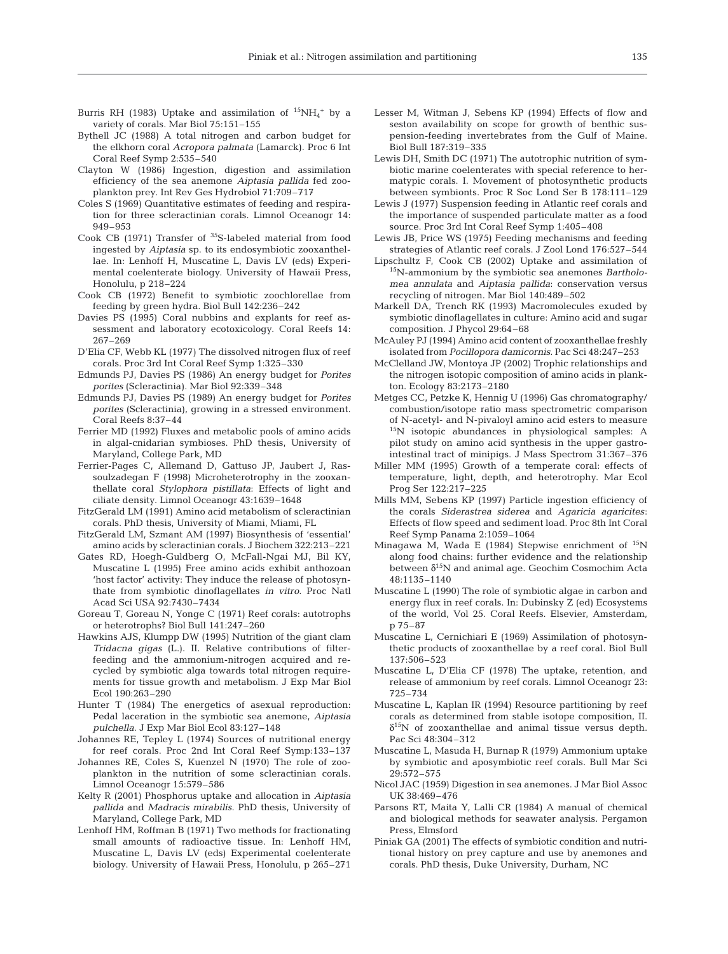- Burris RH (1983) Uptake and assimilation of  ${}^{15}NH_4{}^+$  by a variety of corals. Mar Biol 75:151–155
- Bythell JC (1988) A total nitrogen and carbon budget for the elkhorn coral *Acropora palmata* (Lamarck). Proc 6 Int Coral Reef Symp 2:535–540
- Clayton W (1986) Ingestion, digestion and assimilation efficiency of the sea anemone *Aiptasia pallida* fed zooplankton prey. Int Rev Ges Hydrobiol 71:709–717
- Coles S (1969) Quantitative estimates of feeding and respiration for three scleractinian corals. Limnol Oceanogr 14: 949–953
- Cook CB (1971) Transfer of 35S-labeled material from food ingested by *Aiptasia* sp. to its endosymbiotic zooxanthellae. In: Lenhoff H, Muscatine L, Davis LV (eds) Experimental coelenterate biology. University of Hawaii Press, Honolulu, p 218–224
- Cook CB (1972) Benefit to symbiotic zoochlorellae from feeding by green hydra. Biol Bull 142:236–242
- Davies PS (1995) Coral nubbins and explants for reef assessment and laboratory ecotoxicology. Coral Reefs 14: 267–269
- D'Elia CF, Webb KL (1977) The dissolved nitrogen flux of reef corals. Proc 3rd Int Coral Reef Symp 1:325–330
- Edmunds PJ, Davies PS (1986) An energy budget for *Porites porites* (Scleractinia). Mar Biol 92:339–348
- Edmunds PJ, Davies PS (1989) An energy budget for *Porites porites* (Scleractinia), growing in a stressed environment. Coral Reefs 8:37–44
- Ferrier MD (1992) Fluxes and metabolic pools of amino acids in algal-cnidarian symbioses. PhD thesis, University of Maryland, College Park, MD
- Ferrier-Pages C, Allemand D, Gattuso JP, Jaubert J, Rassoulzadegan F (1998) Microheterotrophy in the zooxanthellate coral *Stylophora pistillata*: Effects of light and ciliate density. Limnol Oceanogr 43:1639–1648
- FitzGerald LM (1991) Amino acid metabolism of scleractinian corals. PhD thesis, University of Miami, Miami, FL
- FitzGerald LM, Szmant AM (1997) Biosynthesis of 'essential' amino acids by scleractinian corals. J Biochem 322:213–221
- Gates RD, Hoegh-Guldberg O, McFall-Ngai MJ, Bil KY, Muscatine L (1995) Free amino acids exhibit anthozoan 'host factor' activity: They induce the release of photosynthate from symbiotic dinoflagellates *in vitro*. Proc Natl Acad Sci USA 92:7430–7434
- Goreau T, Goreau N, Yonge C (1971) Reef corals: autotrophs or heterotrophs? Biol Bull 141:247–260
- Hawkins AJS, Klumpp DW (1995) Nutrition of the giant clam *Tridacna gigas* (L.). II. Relative contributions of filterfeeding and the ammonium-nitrogen acquired and recycled by symbiotic alga towards total nitrogen requirements for tissue growth and metabolism. J Exp Mar Biol Ecol 190:263–290
- Hunter T (1984) The energetics of asexual reproduction: Pedal laceration in the symbiotic sea anemone, *Aiptasia pulchella*. J Exp Mar Biol Ecol 83:127–148
- Johannes RE, Tepley L (1974) Sources of nutritional energy for reef corals. Proc 2nd Int Coral Reef Symp:133–137
- Johannes RE, Coles S, Kuenzel N (1970) The role of zooplankton in the nutrition of some scleractinian corals. Limnol Oceanogr 15:579–586
- Kelty R (2001) Phosphorus uptake and allocation in *Aiptasia pallida* and *Madracis mirabilis*. PhD thesis, University of Maryland, College Park, MD
- Lenhoff HM, Roffman B (1971) Two methods for fractionating small amounts of radioactive tissue. In: Lenhoff HM, Muscatine L, Davis LV (eds) Experimental coelenterate biology. University of Hawaii Press, Honolulu, p 265–271
- Lesser M, Witman J, Sebens KP (1994) Effects of flow and seston availability on scope for growth of benthic suspension-feeding invertebrates from the Gulf of Maine. Biol Bull 187:319–335
- Lewis DH, Smith DC (1971) The autotrophic nutrition of symbiotic marine coelenterates with special reference to hermatypic corals. I. Movement of photosynthetic products between symbionts. Proc R Soc Lond Ser B 178:111–129
- Lewis J (1977) Suspension feeding in Atlantic reef corals and the importance of suspended particulate matter as a food source. Proc 3rd Int Coral Reef Symp 1:405–408
- Lewis JB, Price WS (1975) Feeding mechanisms and feeding strategies of Atlantic reef corals. J Zool Lond 176:527–544
- Lipschultz F, Cook CB (2002) Uptake and assimilation of 15N-ammonium by the symbiotic sea anemones *Bartholomea annulata* and *Aiptasia pallida*: conservation versus recycling of nitrogen. Mar Biol 140:489–502
- Markell DA, Trench RK (1993) Macromolecules exuded by symbiotic dinoflagellates in culture: Amino acid and sugar composition. J Phycol 29:64–68
- McAuley PJ (1994) Amino acid content of zooxanthellae freshly isolated from *Pocillopora damicornis*. Pac Sci 48:247–253
- McClelland JW, Montoya JP (2002) Trophic relationships and the nitrogen isotopic composition of amino acids in plankton. Ecology 83:2173–2180
- Metges CC, Petzke K, Hennig U (1996) Gas chromatography/ combustion/isotope ratio mass spectrometric comparison of N-acetyl- and N-pivaloyl amino acid esters to measure 15N isotopic abundances in physiological samples: A pilot study on amino acid synthesis in the upper gastrointestinal tract of minipigs. J Mass Spectrom 31:367–376
- Miller MM (1995) Growth of a temperate coral: effects of temperature, light, depth, and heterotrophy. Mar Ecol Prog Ser 122:217–225
- Mills MM, Sebens KP (1997) Particle ingestion efficiency of the corals *Siderastrea siderea* and *Agaricia agaricites*: Effects of flow speed and sediment load. Proc 8th Int Coral Reef Symp Panama 2:1059–1064
- Minagawa M, Wada E (1984) Stepwise enrichment of  $^{15}N$ along food chains: further evidence and the relationship between  $\delta^{15}N$  and animal age. Geochim Cosmochim Acta 48:1135–1140
- Muscatine L (1990) The role of symbiotic algae in carbon and energy flux in reef corals. In: Dubinsky Z (ed) Ecosystems of the world, Vol 25. Coral Reefs. Elsevier, Amsterdam, p 75–87
- Muscatine L, Cernichiari E (1969) Assimilation of photosynthetic products of zooxanthellae by a reef coral. Biol Bull 137:506–523
- Muscatine L, D'Elia CF (1978) The uptake, retention, and release of ammonium by reef corals. Limnol Oceanogr 23: 725–734
- Muscatine L, Kaplan IR (1994) Resource partitioning by reef corals as determined from stable isotope composition, II.  $\delta^{15}$ N of zooxanthellae and animal tissue versus depth. Pac Sci 48:304–312
- Muscatine L, Masuda H, Burnap R (1979) Ammonium uptake by symbiotic and aposymbiotic reef corals. Bull Mar Sci 29:572–575
- Nicol JAC (1959) Digestion in sea anemones. J Mar Biol Assoc UK 38:469–476
- Parsons RT, Maita Y, Lalli CR (1984) A manual of chemical and biological methods for seawater analysis. Pergamon Press, Elmsford
- Piniak GA (2001) The effects of symbiotic condition and nutritional history on prey capture and use by anemones and corals. PhD thesis, Duke University, Durham, NC